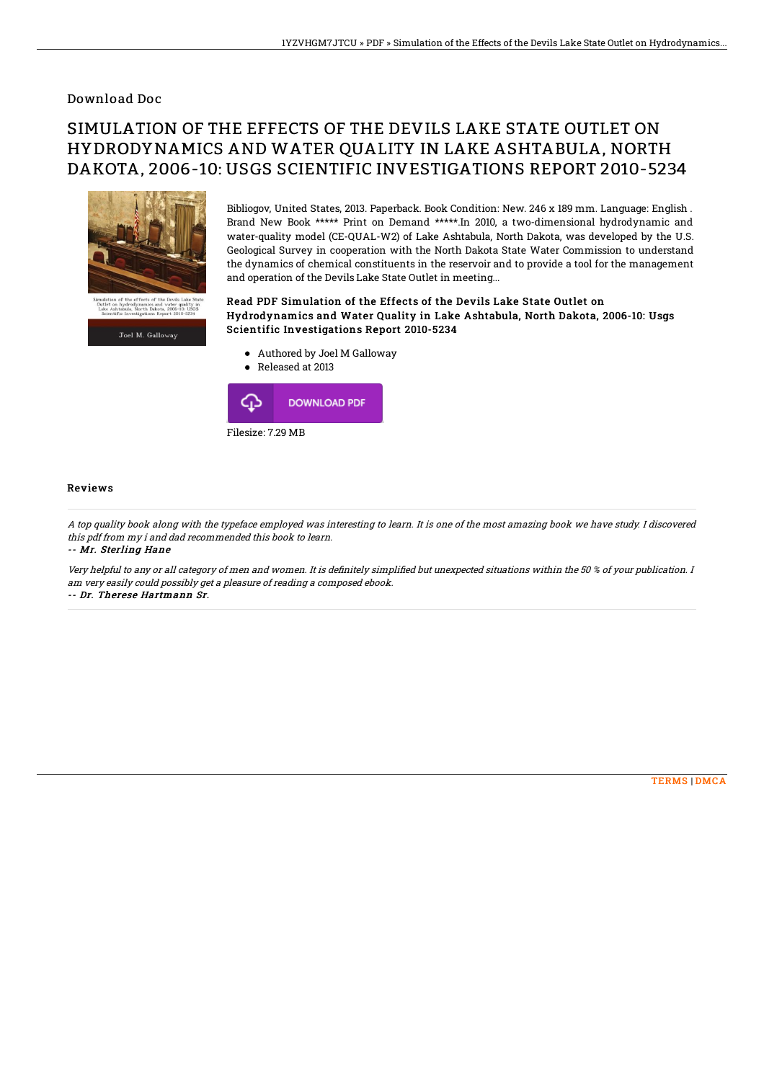### Download Doc

# SIMULATION OF THE EFFECTS OF THE DEVILS LAKE STATE OUTLET ON HYDRODYNAMICS AND WATER QUALITY IN LAKE ASHTABULA, NORTH DAKOTA, 2006-10: USGS SCIENTIFIC INVESTIGATIONS REPORT 2010-5234



Bibliogov, United States, 2013. Paperback. Book Condition: New. 246 x 189 mm. Language: English . Brand New Book \*\*\*\*\* Print on Demand \*\*\*\*\*.In 2010, a two-dimensional hydrodynamic and water-quality model (CE-QUAL-W2) of Lake Ashtabula, North Dakota, was developed by the U.S. Geological Survey in cooperation with the North Dakota State Water Commission to understand the dynamics of chemical constituents in the reservoir and to provide a tool for the management and operation of the Devils Lake State Outlet in meeting...

#### Read PDF Simulation of the Effects of the Devils Lake State Outlet on Hydrodynamics and Water Quality in Lake Ashtabula, North Dakota, 2006-10: Usgs Scientific Investigations Report 2010-5234

- Authored by Joel M Galloway
- Released at 2013  $\bullet$



#### Reviews

A top quality book along with the typeface employed was interesting to learn. It is one of the most amazing book we have study. I discovered this pdf from my i and dad recommended this book to learn.

-- Mr. Sterling Hane

Very helpful to any or all category of men and women. It is definitely simplified but unexpected situations within the 50 % of your publication. I am very easily could possibly get <sup>a</sup> pleasure of reading <sup>a</sup> composed ebook. -- Dr. Therese Hartmann Sr.